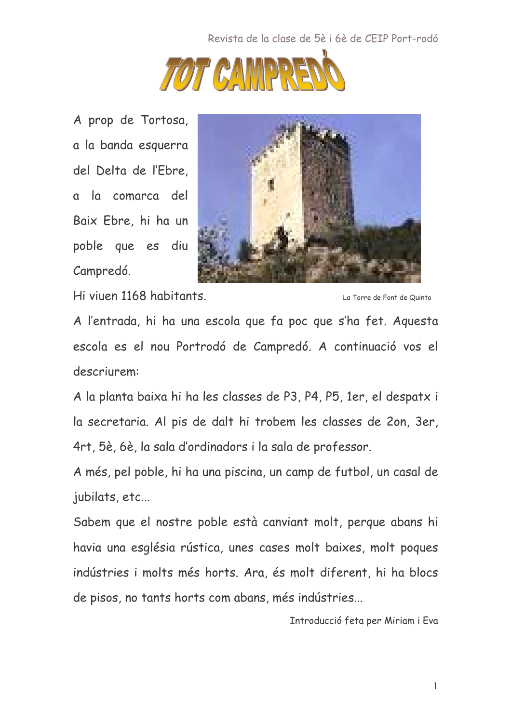

A prop de Tortosa, a la banda esquerra del Delta de l'Ebre. la comarca del  $\mathbf{a}$ Baix Ebre, hi ha un poble que es diu Campredó.



Hi viuen 1168 habitants.

La Torre de Font de Quinto

A l'entrada, hi ha una escola que fa poc que s'ha fet. Aguesta escola es el nou Portrodó de Campredó. A continuació vos el descriurem:

A la planta baixa hi ha les classes de P3, P4, P5, 1er, el despatx i la secretaria. Al pis de dalt hi trobem les classes de 20n, 3er, 4rt, 5è, 6è, la sala d'ordinadors i la sala de professor.

A més, pel poble, hi ha una piscina, un camp de futbol, un casal de jubilats, etc...

Sabem que el nostre poble està canviant molt, perque abans hi havia una església rústica, unes cases molt baixes, molt poques indústries i molts més horts. Ara, és molt diferent, hi ha blocs de pisos, no tants horts com abans, més indústries...

Introducció feta per Miriam i Eva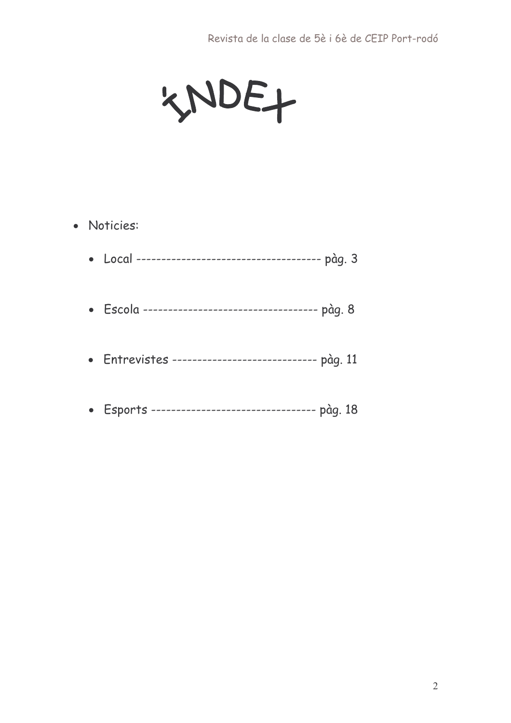# XNDET

## · Noticies: • Escola ----------------------------------- pàg. 8 • Entrevistes ----------------------------- pàg. 11 • Esports --------------------------------- pàg. 18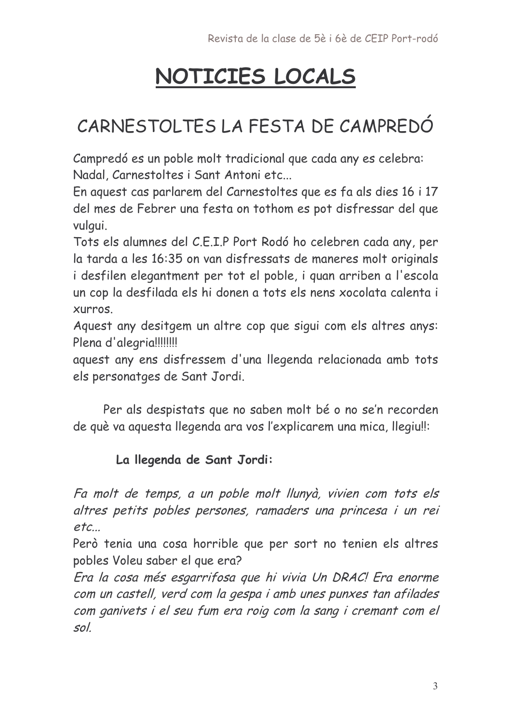## NOTICIES LOCALS

## CARNESTOLTES LA FESTA DE CAMPREDÓ

Campredó es un poble molt tradicional que cada any es celebra: Nadal, Carnestoltes i Sant Antoni etc...

En aguest cas parlarem del Carnestoltes que es fa als dies 16 i 17 del mes de Febrer una festa on tothom es pot disfressar del que vulgui.

Tots els alumnes del C.E.I.P Port Rodó ho celebren cada any, per la tarda a les 16:35 on van disfressats de maneres molt originals i desfilen elegantment per tot el poble, i quan arriben a l'escola un cop la desfilada els hi donen a tots els nens xocolata calenta i Xurros.

Aquest any desitgem un altre cop que sigui com els altres anys: Plena d'alegria!!!!!!!!

aquest any ens disfressem d'una llegenda relacionada amb tots els personatges de Sant Jordi.

Per als despistats que no saben molt bé o no se'n recorden de què va aquesta llegenda ara vos l'explicarem una mica, llegiu!!:

### La llegenda de Sant Jordi:

Fa molt de temps, a un poble molt llunyà, vivien com tots els altres petits pobles persones, ramaders una princesa i un rei  $etc...$ 

Però tenia una cosa horrible que per sort no tenien els altres pobles Voleu saber el que era?

Era la cosa més esgarrifosa que hi vivia Un DRAC! Era enorme com un castell, verd com la gespa i amb unes punxes tan afilades com ganivets i el seu fum era roig com la sang i cremant com el  $sol$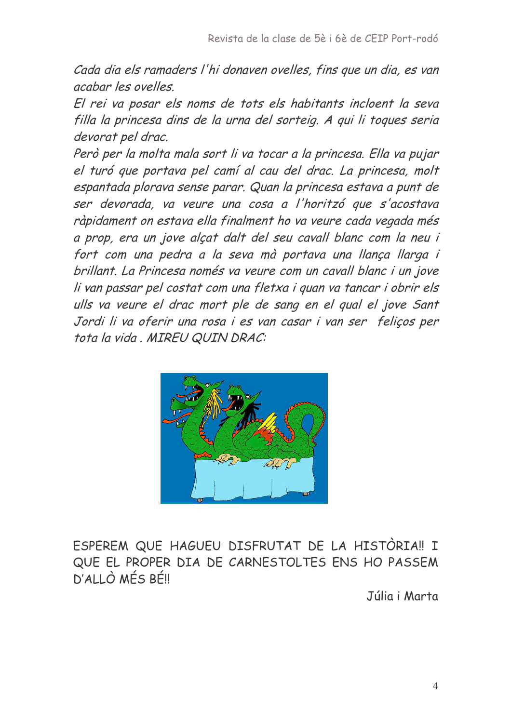Cada dia els ramaders l'hi donaven ovelles, fins que un dia, es van acabar les ovelles.

El rei va posar els noms de tots els habitants incloent la seva filla la princesa dins de la urna del sorteig. A qui li toques seria devorat pel drac.

Però per la molta mala sort li va tocar a la princesa. Ella va pujar el turó que portava pel camí al cau del drac. La princesa, molt espantada plorava sense parar. Quan la princesa estava a punt de ser devorada, va veure una cosa a l'horitzó que s'acostava ràpidament on estava ella finalment ho va veure cada vegada més a prop, era un jove alçat dalt del seu cavall blanc com la neu i fort com una pedra a la seva mà portava una llança llarga i brillant. La Princesa només va veure com un cavall blanc i un jove li van passar pel costat com una fletxa i quan va tancar i obrir els ulls va veure el drac mort ple de sang en el qual el jove Sant Jordi li va oferir una rosa i es van casar i van ser feliços per tota la vida. MIREU QUIN DRAC:



ESPEREM QUE HAGUEU DISFRUTAT DE LA HISTÒRIA!! I QUE EL PROPER DIA DE CARNESTOLTES ENS HO PASSEM  $D'$ ALI $\bigcap$  MES REIL

Júlia i Marta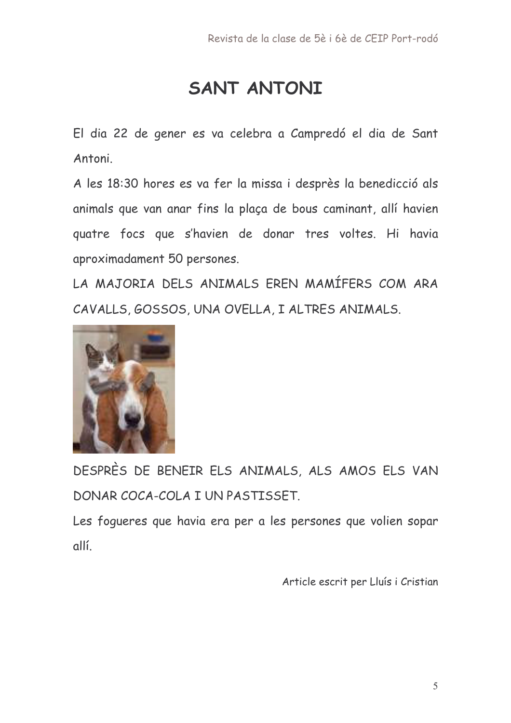## SANT ANTONI

El dia 22 de gener es va celebra a Campredó el dia de Sant Antoni

A les 18:30 hores es va fer la missa i desprès la benedicció als animals que van anar fins la plaça de bous caminant, allí havien quatre focs que s'havien de donar tres voltes. Hi havia aproximadament 50 persones.

LA MAJORIA DELS ANIMALS EREN MAMÍFERS COM ARA CAVALLS, GOSSOS, UNA OVELLA, I ALTRES ANIMALS.



DESPRÈS DE BENEIR ELS ANIMALS, ALS AMOS ELS VAN DONAR COCA-COLA I UN PASTISSET.

Les fogueres que havia era per a les persones que volien sopar allí.

Article escrit per Lluís i Cristian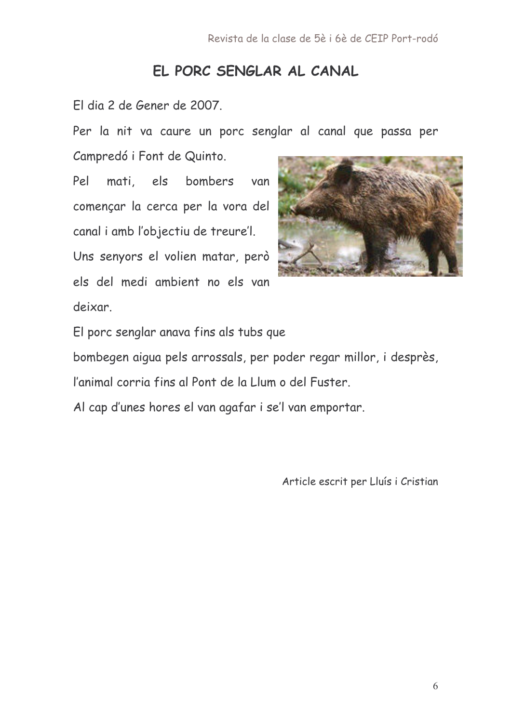### EL PORC SENGLAR AL CANAL

El dia 2 de Gener de 2007.

Per la nit va caure un porc senglar al canal que passa per

Campredó i Font de Quinto.

Pel mati, els **bombers** van començar la cerca per la vora del canal i amb l'objectiu de treure'l. Uns senyors el volien matar, però els del medi ambient no els van deixar



El porc senglar anava fins als tubs que

bombegen aigua pels arrossals, per poder regar millor, i desprès,

l'animal corria fins al Pont de la Llum o del Fuster.

Al cap d'unes hores el van agafar i se'l van emportar.

Article escrit per Lluís i Cristian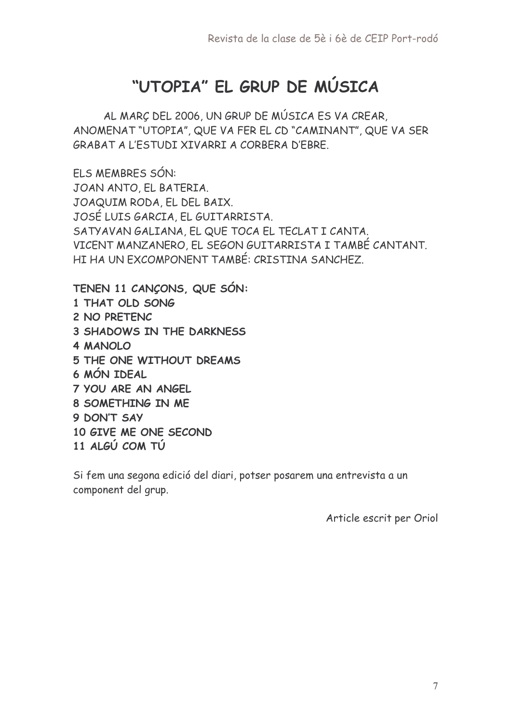### "UTOPIA" EL GRUP DE MÚSICA

AL MARÇ DEL 2006, UN GRUP DE MÚSICA ES VA CREAR, ANOMENAT "UTOPIA", QUE VA FER EL CD "CAMINANT", QUE VA SER GRABAT A L'ESTUDI XIVARRI A CORBERA D'EBRE.

FLS MEMBRES SÓN: JOAN ANTO, EL BATERIA. JOAQUIM RODA, EL DEL BAIX. JOSÉ LUIS GARCIA, EL GUITARRISTA. SATYAVAN GALIANA, EL QUE TOCA EL TECLAT I CANTA. VICENT MANZANERO, EL SEGON GUITARRISTA I TAMBÉ CANTANT. HI HA UN EXCOMPONENT TAMBÉ: CRISTINA SANCHEZ.

TENEN 11 CANCONS, QUE SÓN: 1 THAT OLD SONG 2 NO PRETENC 3 SHADOWS IN THE DARKNESS 4 MANOLO 5 THE ONE WITHOUT DREAMS 6 MÓN IDEAL 7 YOU ARE AN ANGEL 8 SOMETHING IN ME 9 DON'T SAY 10 GIVE ME ONE SECOND 11 ALGÚ COM TÚ

Si fem una segona edició del diari, potser posarem una entrevista a un component del grup.

Article escrit per Oriol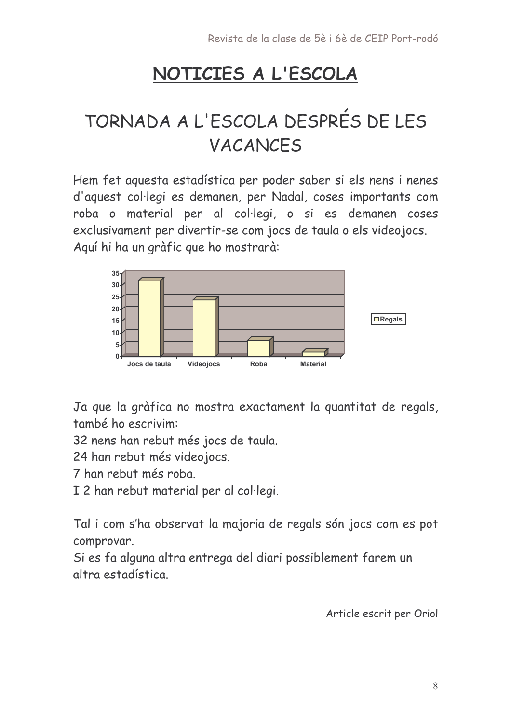## NOTICIES A L'ESCOLA

## TORNADA A L'ESCOLA DESPRÉS DE LES VACANCFS

Hem fet aquesta estadística per poder saber si els nens i nenes d'aquest col·legi es demanen, per Nadal, coses importants com roba o material per al col·legi, o si es demanen coses exclusivament per divertir-se com jocs de taula o els videojocs. Aquí hi ha un gràfic que ho mostrarà:



Ja que la gràfica no mostra exactament la quantitat de regals, també ho escrivim:

32 nens han rebut més jocs de taula.

24 han rebut més videojocs.

7 han rebut més roba.

I 2 han rebut material per al col·legi.

Tal i com s'ha observat la majoria de regals són jocs com es pot comprovar.

Si es fa alguna altra entrega del diari possiblement farem un altra estadística.

Article escrit per Oriol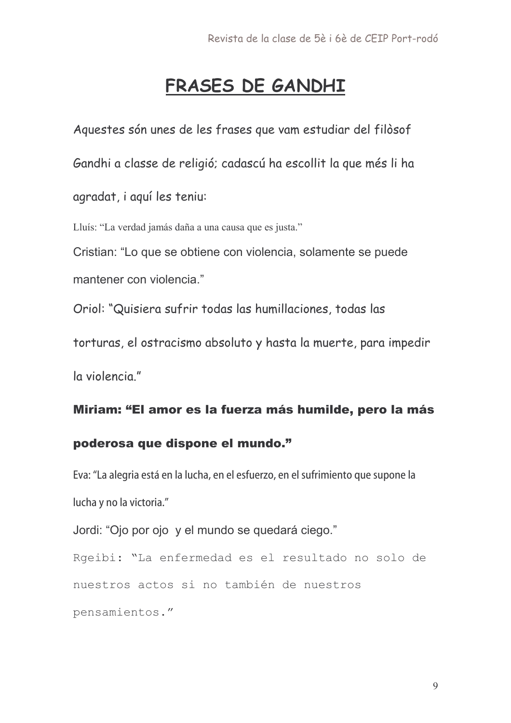### FRASES DE GANDHI

Aquestes són unes de les frases que vam estudiar del filòsof Gandhi a classe de religió; cadascú ha escollit la que més li ha agradat, i aquí les teniu:

Lluís: "La verdad jamás daña a una causa que es justa."

Cristian: "Lo que se obtiene con violencia, solamente se puede mantener con violencia."

Oriol: "Quisiera sufrir todas las humillaciones, todas las

torturas, el ostracismo absoluto y hasta la muerte, para impedir

la violencia."

### Miriam: "El amor es la fuerza más humilde, pero la más

#### poderosa que dispone el mundo."

Eva: "La alegria está en la lucha, en el esfuerzo, en el sufrimiento que supone la lucha y no la victoria."

Jordi: "Ojo por ojo y el mundo se quedará ciego."

Rgeibi: "La enfermedad es el resultado no solo de nuestros actos si no también de nuestros pensamientos."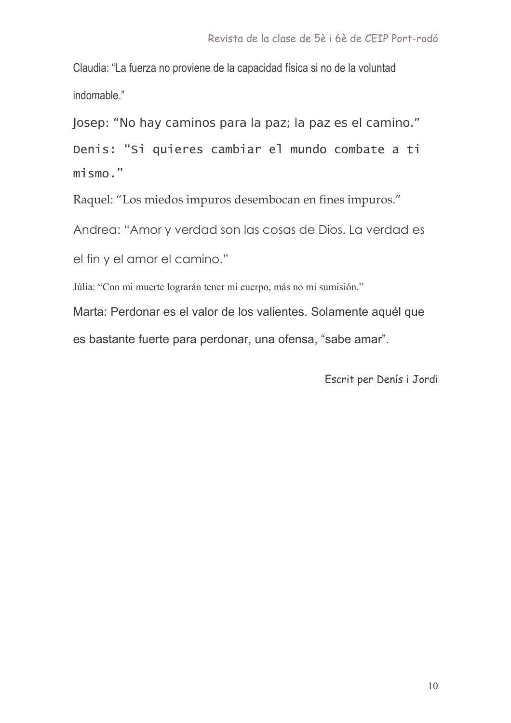Claudia: "La fuerza no proviene de la capacidad física si no de la voluntad indomable."

losep: "No hay caminos para la paz; la paz es el camino."

Denis: "Si quieres cambiar el mundo combate a ti mismo."

Raquel: "Los miedos impuros desembocan en fines impuros."

Andrea: "Amor y verdad son las cosas de Dios. La verdad es

el fin y el amor el camino."

Júlia: "Con mi muerte lograrán tener mi cuerpo, más no mi sumisión."

Marta: Perdonar es el valor de los valientes. Solamente aquél que

es bastante fuerte para perdonar, una ofensa, "sabe amar".

Escrit per Denís i Jordi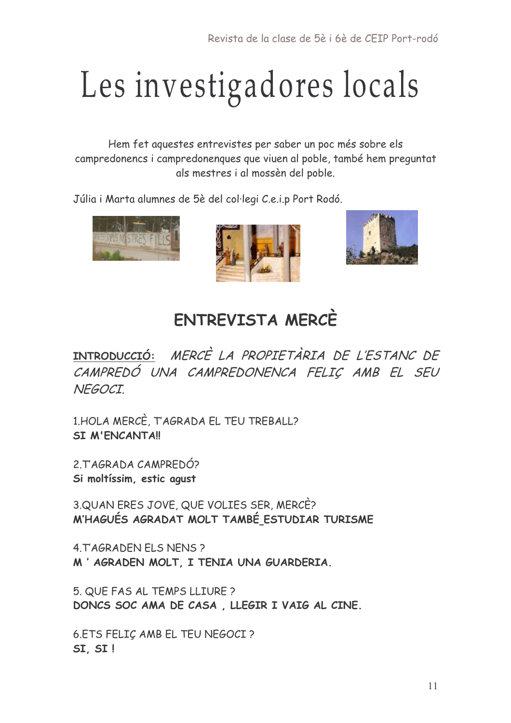# Les investigadores locals

Hem fet aquestes entrevistes per saber un poc més sobre els campredonencs i campredonenques que viuen al poble, també hem preguntat als mestres i al mossèn del poble.

Júlia i Marta alumnes de 5è del col·legi C.e.i.p Port Rodó.







## ENTREVISTA MERCÈ

INTRODUCCIÓ: MERCÈ LA PROPIETÀRIA DE L'ESTANC DE CAMPREDÓ UNA CAMPREDONENCA FELIC AMB EL SEU **NFGOCT** 

1.HOLA MERCÈ, T'AGRADA EL TEU TREBALL? **SI M'ENCANTA!!** 

2. TAGRADA CAMPREDÓ? Si moltíssim, estic agust

3. QUAN ERES JOVE, QUE VOLIES SER, MERCÈ? M'HAGUÉS AGRADAT MOLT TAMBÉ ESTUDIAR TURISME

**4. TAGRADEN ELS NENS?** M' AGRADEN MOLT, I TENIA UNA GUARDERIA.

5. QUE FAS AL TEMPS LLIURE? DONCS SOC AMA DE CASA, LLEGIR I VAIG AL CINE.

6.ETS FELIC AMB EL TEU NEGOCI ? SI SI!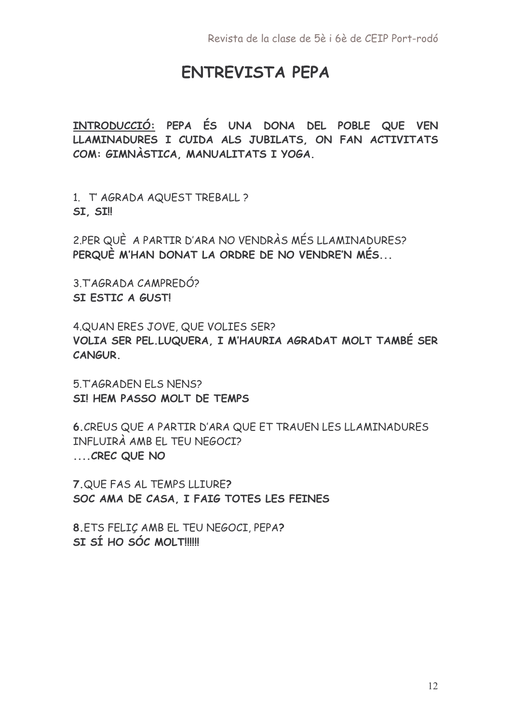### **ENTREVISTA PEPA**

INTRODUCCIÓ: PEPA ÉS UNA DONA DEL POBLE QUE VEN LLAMINADURES I CUIDA ALS JUBILATS, ON FAN ACTIVITATS COM: GIMNÀSTICA, MANUALITATS I YOGA,

1. T' AGRADA AQUEST TREBALL ? SI, SI !!

2.PER QUÈ A PARTIR D'ARA NO VENDRÀS MÉS LLAMINADURES? PERQUE M'HAN DONAT LA ORDRE DE NO VENDRE'N MÉS...

3. TAGRADA CAMPREDÓ? SI ESTIC A GUST!

4. QUAN ERES JOVE, QUE VOLIES SER? VOLIA SER PEL.LUQUERA, I M'HAURIA AGRADAT MOLT TAMBÉ SER CANGUR.

5. TAGRADEN ELS NENS? SI! HEM PASSO MOLT DE TEMPS

6. CREUS QUE A PARTIR D'ARA QUE ET TRAUEN LES LLAMINADURES INFLUIRA AMB FL TFU NFGOCI? ....CREC QUE NO

7. QUE FAS AL TEMPS LLIURE? SOC AMA DE CASA, I FAIG TOTES LES FEINES

8. ETS FELIC AMB EL TEU NEGOCI, PEPA? SI SÍ HO SÓC MOLT!!!!!!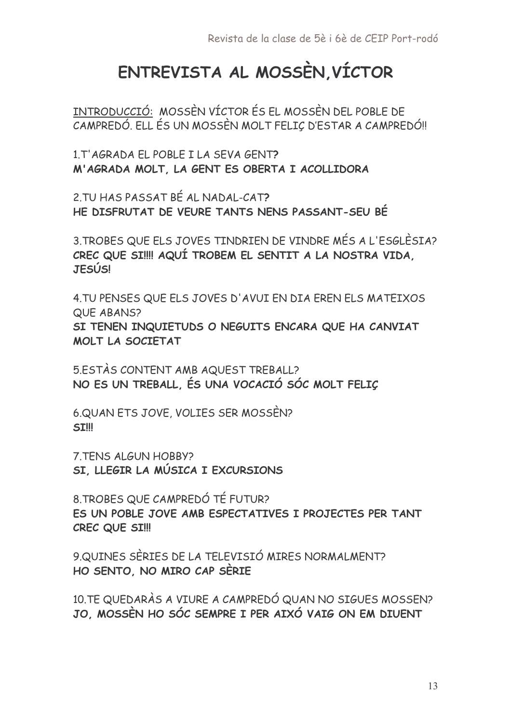### ENTREVISTA AL MOSSÈN, VÍCTOR

INTRODUCCIÓ: MOSSÈN VÍCTOR ÉS EL MOSSÈN DEL POBLE DE CAMPREDÓ. ELL ÉS UN MOSSÈN MOLT FELIC D'ESTAR A CAMPREDÓ!!

1.T' AGRADA EL POBLE I LA SEVA GENT? M'AGRADA MOLT. LA GENT ES OBERTA I ACOLLIDORA

2.TU HAS PASSAT BÉ AL NADAL-CAT? HE DISFRUTAT DE VEURE TANTS NENS PASSANT-SEU BÉ

3. TROBES QUE ELS JOVES TINDRIEN DE VINDRE MÉS A L'ESGLÈSIA? CREC QUE SI!!! AQUÍ TROBEM EL SENTIT A LA NOSTRA VIDA. **JESÚSL** 

4. TU PENSES QUE ELS JOVES D'AVUI EN DIA EREN ELS MATEIXOS QUE ABANS? SI TENEN INQUIETUDS O NEGUITS ENCARA QUE HA CANVIAT MOLT LA SOCIETAT

5.ESTÀS CONTENT AMB AQUEST TREBALL? NO ES UN TREBALL, ÉS UNA VOCACIÓ SÓC MOLT FELIC

6. QUAN ETS JOVE, VOLIES SER MOSSÈN? **SIIII** 

7 TENS ALGUN HOBBY? SI. LLEGIR LA MÚSICA I EXCURSIONS

8. TROBES QUE CAMPREDÓ TÉ FUTUR? ES UN POBLE JOVE AMB ESPECTATIVES I PROJECTES PER TANT CREC QUE SI !!!

9. QUINES SÈRIES DE LA TELEVISIÓ MIRES NORMALMENT? HO SENTO, NO MIRO CAP SÈRIE

10. TE QUEDARÀS A VIURE A CAMPREDÓ QUAN NO SIGUES MOSSEN? JO, MOSSÈN HO SÓC SEMPRE I PER AIXÓ VAIG ON EM DIUENT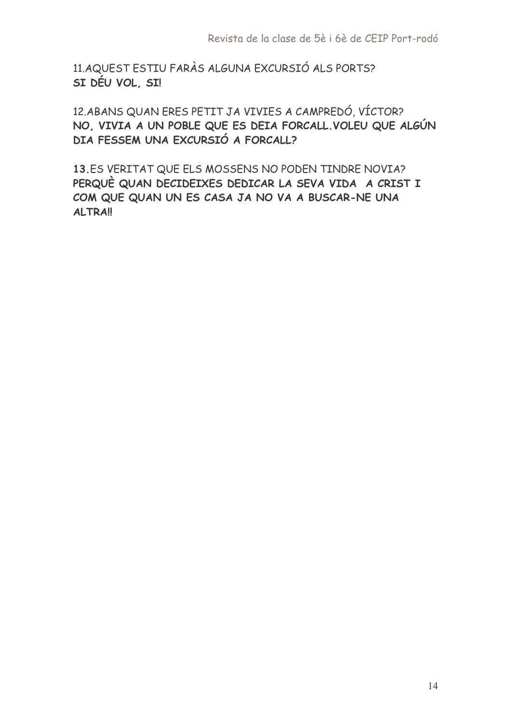11. AQUEST ESTIU FARÀS ALGUNA EXCURSIÓ ALS PORTS? SI DÉU VOL, SI!

12.ABANS QUAN ERES PETIT JA VIVIES A CAMPREDÓ, VÍCTOR? NO, VIVIA A UN POBLE QUE ES DEIA FORCALL. VOLEU QUE ALGÚN DIA FESSEM UNA EXCURSIÓ A FORCALL?

13.ES VERITAT QUE ELS MOSSENS NO PODEN TINDRE NOVIA? PERQUÈ QUAN DECIDEIXES DEDICAR LA SEVA VIDA A CRIST I COM QUE QUAN UN ES CASA JA NO VA A BUSCAR-NE UNA **ALTRA!!**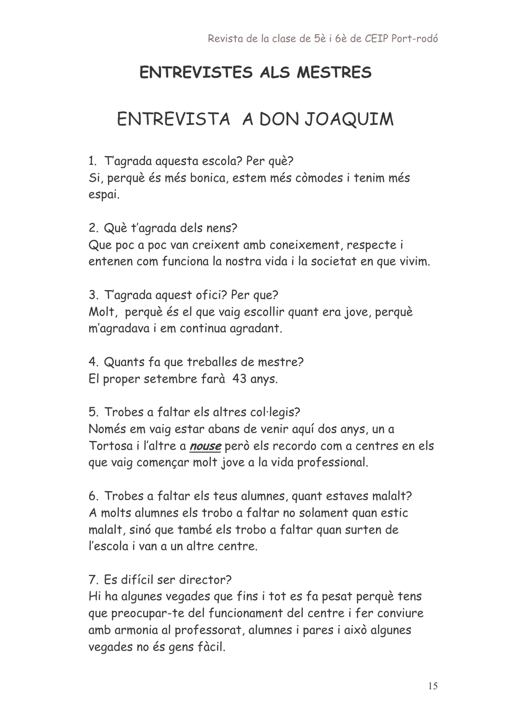### **ENTREVISTES ALS MESTRES**

## ENTREVISTA A DON JOAQUIM

1. Tagrada aguesta escola? Per què?

Si, perquè és més bonica, estem més còmodes i tenim més espai.

2. Què t'agrada dels nens?

Que poc a poc van creixent amb coneixement, respecte i entenen com funciona la nostra vida i la societat en que vivim.

3. Tagrada aguest ofici? Per que? Molt, perquè és el que vaig escollir quant era jove, perquè m'agradava i em continua agradant.

4. Quants fa que treballes de mestre? El proper setembre farà 43 anys.

5. Trobes a faltar els altres col·legis? Només em vaig estar abans de venir aquí dos anys, un a Tortosa i l'altre a *nouse* però els recordo com a centres en els que vaig començar molt jove a la vida professional.

6. Trobes a faltar els teus alumnes, quant estaves malalt? A molts alumnes els trobo a faltar no solament quan estic malalt, sinó que també els trobo a faltar quan surten de l'escola i van a un altre centre

### 7 Es difícil ser director?

Hi ha algunes vegades que fins i tot es fa pesat perquè tens que preocupar-te del funcionament del centre i fer conviure amb armonia al professorat, alumnes i pares i això algunes vegades no és gens fàcil.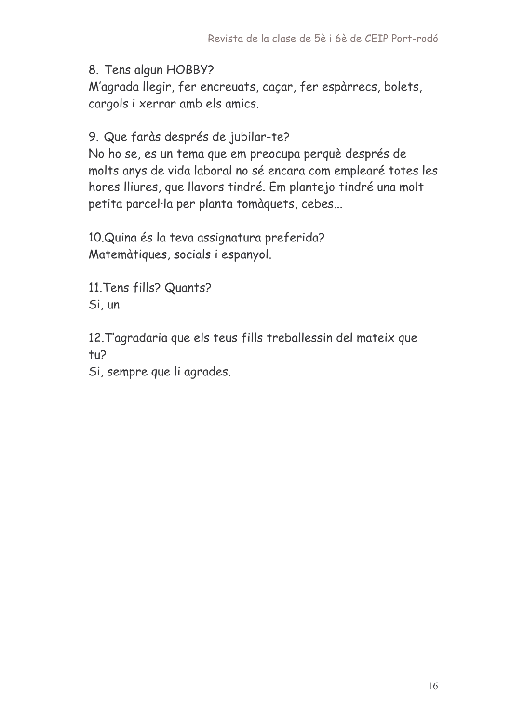8. Tens algun HOBBY?

M'agrada llegir, fer encreuats, caçar, fer espàrrecs, bolets, cargols i xerrar amb els amics.

### 9. Que faràs després de jubilar-te?

No ho se, es un tema que em preocupa perquè després de molts anys de vida laboral no sé encara com emplearé totes les hores lliures, que llavors tindré. Em plantejo tindré una molt petita parcel·la per planta tomàquets, cebes...

10. Quina és la teva assignatura preferida? Matemàtiques, socials i espanyol.

11. Tens fills? Quants? Si, un

12. T'agradaria que els teus fills treballessin del mateix que  $\epsilon$ ut

Si, sempre que li agrades.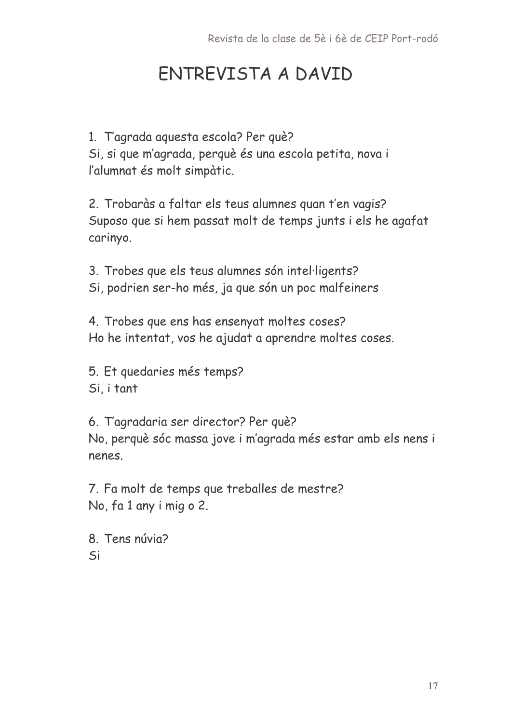## ENTREVISTA A DAVID

1. Tagrada aquesta escola? Per què? Si, si que m'agrada, perquè és una escola petita, nova i l'alumnat és molt simpàtic.

2. Trobaràs a faltar els teus alumnes quan t'en vagis? Suposo que si hem passat molt de temps junts i els he agafat carinyo.

3. Trobes que els teus alumnes són intel·ligents? Si, podrien ser-ho més, ja que són un poc malfeiners

4. Trobes que ens has ensenyat moltes coses? Ho he intentat, vos he ajudat a aprendre moltes coses.

5. Et quedaries més temps? Si, i tant

6. Tagradaria ser director? Per què? No, perquè sóc massa jove i m'agrada més estar amb els nens i nenes.

7. Fa molt de temps que treballes de mestre? No, fa 1 any i mig o 2.

8. Tens núvia? Si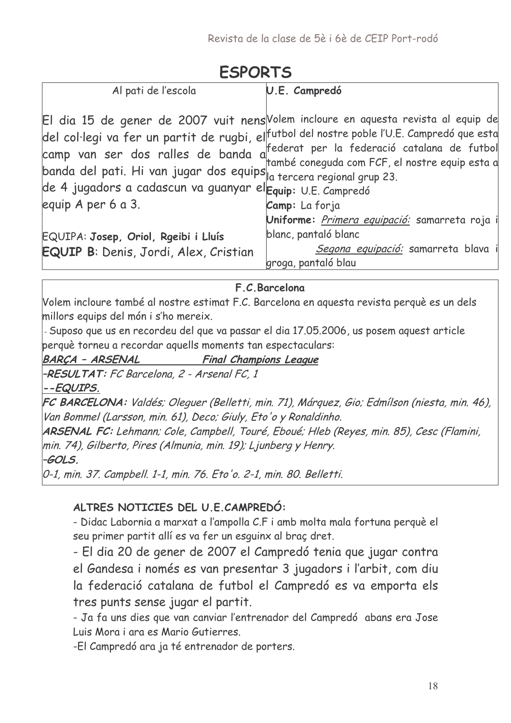| ESPORTS |  |
|---------|--|
|---------|--|

| ESPURIS                                                                                                                                                                                          |                                                                                                                                                                                                                                                                                                                                                                                                                        |  |
|--------------------------------------------------------------------------------------------------------------------------------------------------------------------------------------------------|------------------------------------------------------------------------------------------------------------------------------------------------------------------------------------------------------------------------------------------------------------------------------------------------------------------------------------------------------------------------------------------------------------------------|--|
| Al pati de l'escola                                                                                                                                                                              | U.E. Campredó                                                                                                                                                                                                                                                                                                                                                                                                          |  |
| banda del pati. Hi van jugar dos equips a tercera regional grup 23.<br>de 4 jugadors a cadascun va guanyar el Equip: U.E. Campredó<br>equip A per 6 a 3.<br>EQUIPA: Josep, Oriol, Rgeibi i Lluís | El dia 15 de gener de 2007 vuit nens Volem incloure en aquesta revista al equip de<br>del col·legi va fer un partit de rugbi, el futbol del nostre poble l'U.E. Campredó que esta<br>camp van ser dos ralles de banda afederat per la federació catalana de futbol<br>també coneguda com FCF, el nostre equip esta a<br>Camp: La forja<br>Uniforme: <i>Primera equipació:</i> samarreta roja i<br>blanc, pantaló blanc |  |
| <b>EQUIP B:</b> Denis, Jordi, Alex, Cristian                                                                                                                                                     | Segona equipació: samarreta blava i<br>groga, pantaló blau                                                                                                                                                                                                                                                                                                                                                             |  |
|                                                                                                                                                                                                  |                                                                                                                                                                                                                                                                                                                                                                                                                        |  |

F.C.Barcelona

Volem incloure també al nostre estimat F.C. Barcelona en aquesta revista perquè es un dels millors equips del món i s'ho mereix.

- Suposo que us en recordeu del que va passar el dia 17.05.2006, us posem aquest article perquè torneu a recordar aquells moments tan espectaculars:

BARÇA - ARSENAL **Final Champions League** 

-RESULTAT: FC Barcelona. 2 - Arsenal FC 1

--EQUIPS.

FC BARCELONA: Valdés; Oleguer (Belletti, min. 71), Márquez, Gio; Edmílson (niesta, min. 46), Van Bommel (Larsson, min. 61), Deco; Giuly, Eto'o y Ronaldinho. ARSENAL FC: Lehmann; Cole, Campbell, Touré, Eboué; Hleb (Reyes, min. 85), Cesc (Flamini, min. 74), Gilberto, Pires (Almunia, min. 19); Ljunberg y Henry.  $-GOLS$ 

0-1, min. 37, Campbell, 1-1, min. 76, Eto'o, 2-1, min. 80, Belletti,

### ALTRES NOTICIES DEL U.E.CAMPREDÓ:

- Didac Labornia a marxat a l'ampolla C.F i amb molta mala fortuna perguè el seu primer partit allí es va fer un esquinx al braç dret.

- El dia 20 de gener de 2007 el Campredó tenia que jugar contra el Gandesa i només es van presentar 3 jugadors i l'arbit, com diu la federació catalana de futbol el Campredó es va emporta els tres punts sense jugar el partit.

- Ja fa uns dies que van canviar l'entrenador del Campredó abans era Jose Luis Mora i ara es Mario Gutierres.

-El Campredó ara ja té entrenador de porters.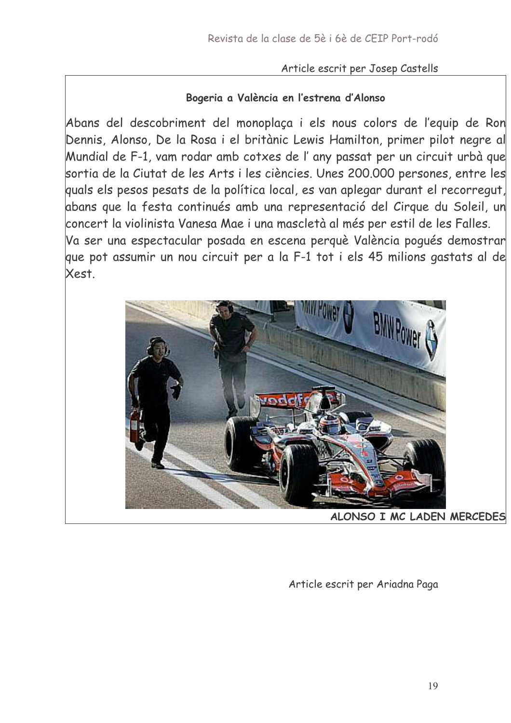#### Article escrit per Josep Castells

### Bogeria a València en l'estrena d'Alonso

Abans del descobriment del monoplaça i els nous colors de l'equip de Ron Dennis, Alonso, De la Rosa i el britànic Lewis Hamilton, primer pilot negre al Mundial de F-1, vam rodar amb cotxes de l'any passat per un circuit urbà que sortia de la Ciutat de les Arts i les ciències. Unes 200.000 persones, entre les quals els pesos pesats de la política local, es van aplegar durant el recorregut, abans que la festa continués amb una representació del Cirque du Soleil, un concert la violinista Vanesa Mae i una mascletà al més per estil de les Falles. Va ser una espectacular posada en escena perquè València pogués demostrar que pot assumir un nou circuit per a la F-1 tot i els 45 milions gastats al de Xest.



Article escrit per Ariadna Paga